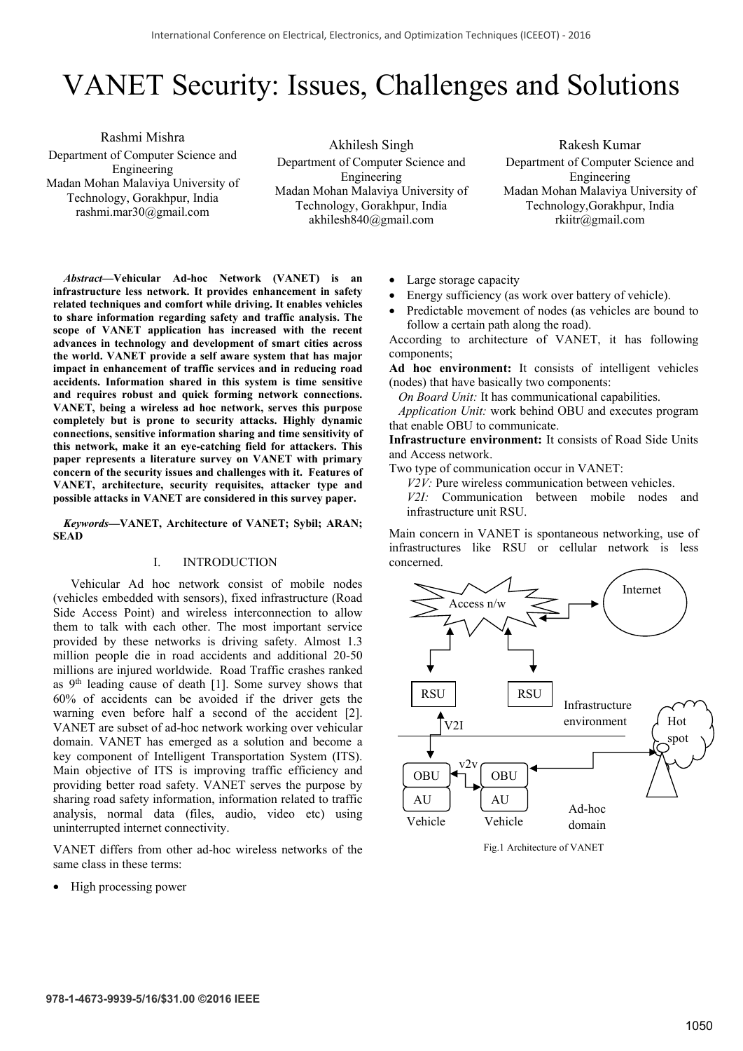# VANET Security: Issues, Challenges and Solutions

Rashmi Mishra Department of Computer Science and Engineering Madan Mohan Malaviya University of Technology, Gorakhpur, India rashmi.mar30@gmail.com

Akhilesh Singh Department of Computer Science and Engineering Madan Mohan Malaviya University of Technology, Gorakhpur, India akhilesh840@gmail.com

Rakesh Kumar Department of Computer Science and Engineering Madan Mohan Malaviya University of Technology,Gorakhpur, India rkiitr@gmail.com

*Abstract***—Vehicular Ad-hoc Network (VANET) is an infrastructure less network. It provides enhancement in safety related techniques and comfort while driving. It enables vehicles to share information regarding safety and traffic analysis. The scope of VANET application has increased with the recent advances in technology and development of smart cities across the world. VANET provide a self aware system that has major impact in enhancement of traffic services and in reducing road accidents. Information shared in this system is time sensitive and requires robust and quick forming network connections. VANET, being a wireless ad hoc network, serves this purpose completely but is prone to security attacks. Highly dynamic connections, sensitive information sharing and time sensitivity of this network, make it an eye-catching field for attackers. This paper represents a literature survey on VANET with primary concern of the security issues and challenges with it. Features of VANET, architecture, security requisites, attacker type and possible attacks in VANET are considered in this survey paper.** 

*Keywords***—VANET, Architecture of VANET; Sybil; ARAN; SEAD**

#### I. INTRODUCTION

Vehicular Ad hoc network consist of mobile nodes (vehicles embedded with sensors), fixed infrastructure (Road Side Access Point) and wireless interconnection to allow them to talk with each other. The most important service provided by these networks is driving safety. Almost 1.3 million people die in road accidents and additional 20-50 millions are injured worldwide. Road Traffic crashes ranked as 9<sup>th</sup> leading cause of death [1]. Some survey shows that 60% of accidents can be avoided if the driver gets the warning even before half a second of the accident [2]. VANET are subset of ad-hoc network working over vehicular domain. VANET has emerged as a solution and become a key component of Intelligent Transportation System (ITS). Main objective of ITS is improving traffic efficiency and providing better road safety. VANET serves the purpose by sharing road safety information, information related to traffic analysis, normal data (files, audio, video etc) using uninterrupted internet connectivity.

VANET differs from other ad-hoc wireless networks of the same class in these terms:

• High processing power

- Large storage capacity
- Energy sufficiency (as work over battery of vehicle).
- Predictable movement of nodes (as vehicles are bound to follow a certain path along the road).

According to architecture of VANET, it has following components;

**Ad hoc environment:** It consists of intelligent vehicles (nodes) that have basically two components:

*On Board Unit:* It has communicational capabilities.

 *Application Unit:* work behind OBU and executes program that enable OBU to communicate.

**Infrastructure environment:** It consists of Road Side Units and Access network.

Two type of communication occur in VANET:

*V2V:* Pure wireless communication between vehicles.

*V2I:* Communication between mobile nodes and infrastructure unit RSU.

Main concern in VANET is spontaneous networking, use of infrastructures like RSU or cellular network is less concerned.



Fig.1 Architecture of VANET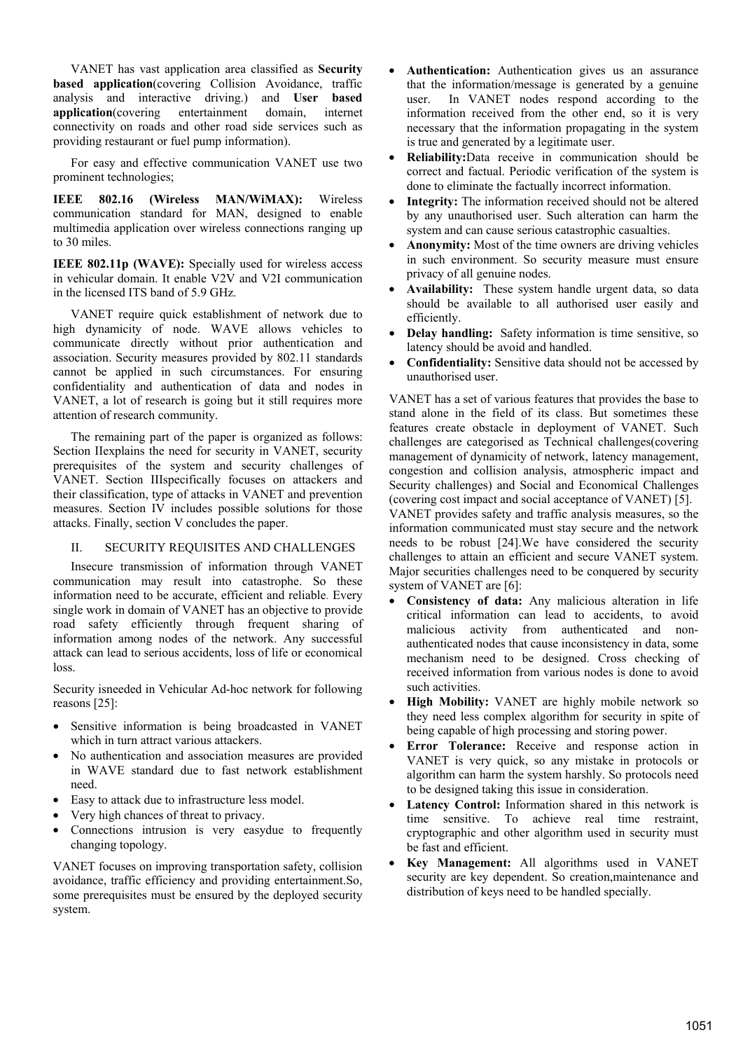VANET has vast application area classified as **Security based application**(covering Collision Avoidance, traffic analysis and interactive driving.) and **User based application**(covering entertainment domain, internet connectivity on roads and other road side services such as providing restaurant or fuel pump information).

For easy and effective communication VANET use two prominent technologies;

**IEEE 802.16 (Wireless MAN/WiMAX):** Wireless communication standard for MAN, designed to enable multimedia application over wireless connections ranging up to 30 miles.

**IEEE 802.11p (WAVE):** Specially used for wireless access in vehicular domain. It enable V2V and V2I communication in the licensed ITS band of 5.9 GHz.

VANET require quick establishment of network due to high dynamicity of node. WAVE allows vehicles to communicate directly without prior authentication and association. Security measures provided by 802.11 standards cannot be applied in such circumstances. For ensuring confidentiality and authentication of data and nodes in VANET, a lot of research is going but it still requires more attention of research community.

The remaining part of the paper is organized as follows: Section IIexplains the need for security in VANET, security prerequisites of the system and security challenges of VANET. Section IIIspecifically focuses on attackers and their classification, type of attacks in VANET and prevention measures. Section IV includes possible solutions for those attacks. Finally, section V concludes the paper.

# II. SECURITY REQUISITES AND CHALLENGES

Insecure transmission of information through VANET communication may result into catastrophe. So these information need to be accurate, efficient and reliable. Every single work in domain of VANET has an objective to provide road safety efficiently through frequent sharing of information among nodes of the network. Any successful attack can lead to serious accidents, loss of life or economical  $l$ oss.

Security isneeded in Vehicular Ad-hoc network for following reasons [25]:

- Sensitive information is being broadcasted in VANET which in turn attract various attackers.
- No authentication and association measures are provided in WAVE standard due to fast network establishment need.
- Easy to attack due to infrastructure less model.
- Very high chances of threat to privacy.
- Connections intrusion is very easydue to frequently changing topology.

VANET focuses on improving transportation safety, collision avoidance, traffic efficiency and providing entertainment.So, some prerequisites must be ensured by the deployed security system.

- **Authentication:** Authentication gives us an assurance that the information/message is generated by a genuine user. In VANET nodes respond according to the information received from the other end, so it is very necessary that the information propagating in the system is true and generated by a legitimate user.
- **Reliability:**Data receive in communication should be correct and factual. Periodic verification of the system is done to eliminate the factually incorrect information.
- **Integrity:** The information received should not be altered by any unauthorised user. Such alteration can harm the system and can cause serious catastrophic casualties.
- **Anonymity:** Most of the time owners are driving vehicles in such environment. So security measure must ensure privacy of all genuine nodes.
- **Availability:** These system handle urgent data, so data should be available to all authorised user easily and efficiently.
- **Delay handling:** Safety information is time sensitive, so latency should be avoid and handled.
- **Confidentiality:** Sensitive data should not be accessed by unauthorised user.

VANET has a set of various features that provides the base to stand alone in the field of its class. But sometimes these features create obstacle in deployment of VANET. Such challenges are categorised as Technical challenges(covering management of dynamicity of network, latency management, congestion and collision analysis, atmospheric impact and Security challenges) and Social and Economical Challenges (covering cost impact and social acceptance of VANET) [5]. VANET provides safety and traffic analysis measures, so the information communicated must stay secure and the network needs to be robust [24].We have considered the security challenges to attain an efficient and secure VANET system. Major securities challenges need to be conquered by security system of VANET are [6]:

- **Consistency of data:** Any malicious alteration in life critical information can lead to accidents, to avoid malicious activity from authenticated and nonauthenticated nodes that cause inconsistency in data, some mechanism need to be designed. Cross checking of received information from various nodes is done to avoid such activities.
- **High Mobility:** VANET are highly mobile network so they need less complex algorithm for security in spite of being capable of high processing and storing power.
- **Error Tolerance:** Receive and response action in VANET is very quick, so any mistake in protocols or algorithm can harm the system harshly. So protocols need to be designed taking this issue in consideration.
- Latency Control: Information shared in this network is time sensitive. To achieve real time restraint, cryptographic and other algorithm used in security must be fast and efficient.
- **Key Management:** All algorithms used in VANET security are key dependent. So creation,maintenance and distribution of keys need to be handled specially.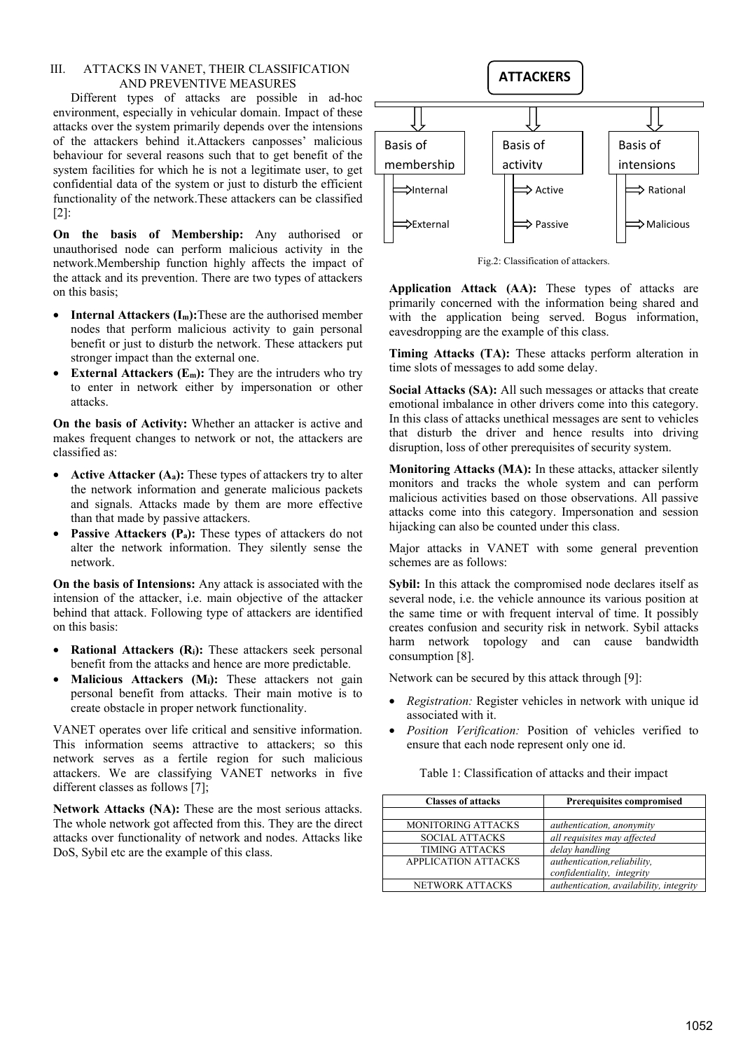## III. ATTACKS IN VANET, THEIR CLASSIFICATION AND PREVENTIVE MEASURES

Different types of attacks are possible in ad-hoc environment, especially in vehicular domain. Impact of these attacks over the system primarily depends over the intensions of the attackers behind it.Attackers canposses' malicious behaviour for several reasons such that to get benefit of the system facilities for which he is not a legitimate user, to get confidential data of the system or just to disturb the efficient functionality of the network.These attackers can be classified [2]:

**On the basis of Membership:** Any authorised or unauthorised node can perform malicious activity in the network.Membership function highly affects the impact of the attack and its prevention. There are two types of attackers on this basis;

- **Internal Attackers (I<sub>m</sub>):**These are the authorised member nodes that perform malicious activity to gain personal benefit or just to disturb the network. These attackers put stronger impact than the external one.
- **External Attackers (Em):** They are the intruders who try to enter in network either by impersonation or other attacks.

**On the basis of Activity:** Whether an attacker is active and makes frequent changes to network or not, the attackers are classified as:

- **Active Attacker (Aa):** These types of attackers try to alter the network information and generate malicious packets and signals. Attacks made by them are more effective than that made by passive attackers.
- **Passive Attackers (P<sub>a</sub>):** These types of attackers do not alter the network information. They silently sense the network.

**On the basis of Intensions:** Any attack is associated with the intension of the attacker, i.e. main objective of the attacker behind that attack. Following type of attackers are identified on this basis:

- **Rational Attackers (Ri):** These attackers seek personal benefit from the attacks and hence are more predictable.
- **Malicious Attackers (M<sub>i</sub>):** These attackers not gain personal benefit from attacks. Their main motive is to create obstacle in proper network functionality.

VANET operates over life critical and sensitive information. This information seems attractive to attackers; so this network serves as a fertile region for such malicious attackers. We are classifying VANET networks in five different classes as follows [7];

**Network Attacks (NA):** These are the most serious attacks. The whole network got affected from this. They are the direct attacks over functionality of network and nodes. Attacks like DoS, Sybil etc are the example of this class.



Fig.2: Classification of attackers.

**Application Attack (AA):** These types of attacks are primarily concerned with the information being shared and with the application being served. Bogus information, eavesdropping are the example of this class.

**Timing Attacks (TA):** These attacks perform alteration in time slots of messages to add some delay.

**Social Attacks (SA):** All such messages or attacks that create emotional imbalance in other drivers come into this category. In this class of attacks unethical messages are sent to vehicles that disturb the driver and hence results into driving disruption, loss of other prerequisites of security system.

**Monitoring Attacks (MA):** In these attacks, attacker silently monitors and tracks the whole system and can perform malicious activities based on those observations. All passive attacks come into this category. Impersonation and session hijacking can also be counted under this class.

Major attacks in VANET with some general prevention schemes are as follows:

**Sybil:** In this attack the compromised node declares itself as several node, i.e. the vehicle announce its various position at the same time or with frequent interval of time. It possibly creates confusion and security risk in network. Sybil attacks harm network topology and can cause bandwidth consumption [8].

Network can be secured by this attack through [9]:

- *Registration:* Register vehicles in network with unique id associated with it.
- *Position Verification:* Position of vehicles verified to ensure that each node represent only one id.

Table 1: Classification of attacks and their impact

| <b>Classes of attacks</b> | <b>Prerequisites compromised</b>        |  |
|---------------------------|-----------------------------------------|--|
|                           |                                         |  |
| <b>MONITORING ATTACKS</b> | authentication, anonymity               |  |
| <b>SOCIAL ATTACKS</b>     | all requisites may affected             |  |
| <b>TIMING ATTACKS</b>     | delay handling                          |  |
| APPLICATION ATTACKS       | authentication, reliability,            |  |
|                           | confidentiality, integrity              |  |
| <b>NETWORK ATTACKS</b>    | authentication, availability, integrity |  |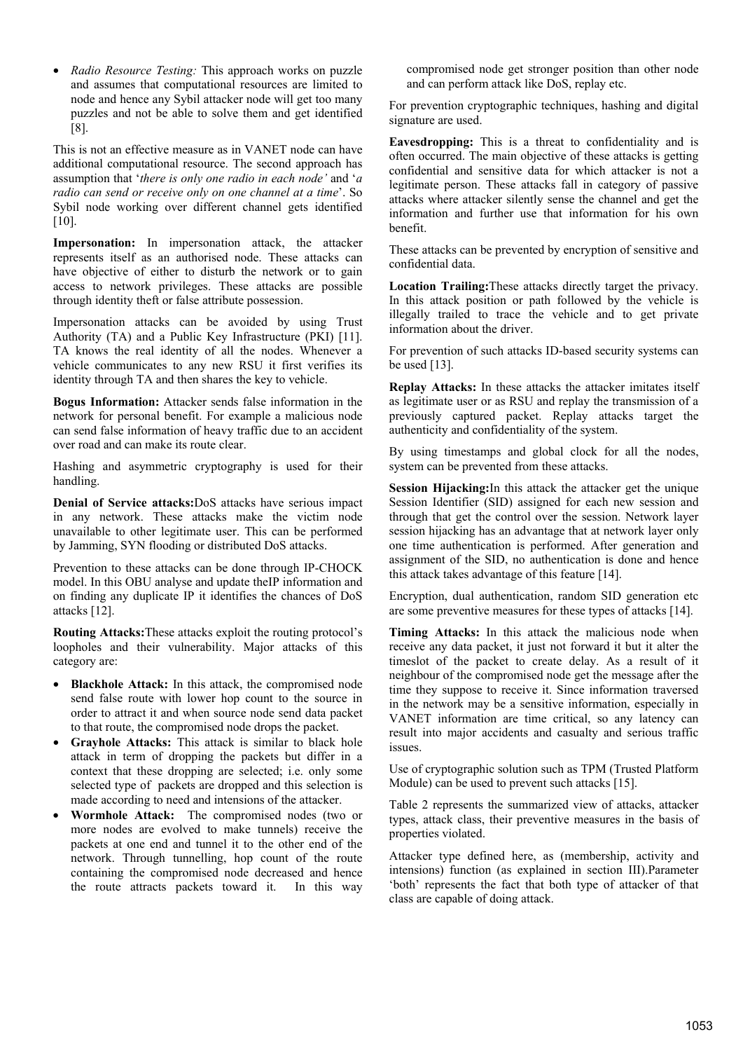• *Radio Resource Testing:* This approach works on puzzle and assumes that computational resources are limited to node and hence any Sybil attacker node will get too many puzzles and not be able to solve them and get identified [8].

This is not an effective measure as in VANET node can have additional computational resource. The second approach has assumption that '*there is only one radio in each node'* and '*a radio can send or receive only on one channel at a time*'. So Sybil node working over different channel gets identified [10].

Impersonation: In impersonation attack, the attacker represents itself as an authorised node. These attacks can have objective of either to disturb the network or to gain access to network privileges. These attacks are possible through identity theft or false attribute possession.

Impersonation attacks can be avoided by using Trust Authority (TA) and a Public Key Infrastructure (PKI) [11]. TA knows the real identity of all the nodes. Whenever a vehicle communicates to any new RSU it first verifies its identity through TA and then shares the key to vehicle.

**Bogus Information:** Attacker sends false information in the network for personal benefit. For example a malicious node can send false information of heavy traffic due to an accident over road and can make its route clear.

Hashing and asymmetric cryptography is used for their handling.

**Denial of Service attacks:**DoS attacks have serious impact in any network. These attacks make the victim node unavailable to other legitimate user. This can be performed by Jamming, SYN flooding or distributed DoS attacks.

Prevention to these attacks can be done through IP-CHOCK model. In this OBU analyse and update theIP information and on finding any duplicate IP it identifies the chances of DoS attacks [12].

**Routing Attacks:**These attacks exploit the routing protocol's loopholes and their vulnerability. Major attacks of this category are:

- **Blackhole Attack:** In this attack, the compromised node send false route with lower hop count to the source in order to attract it and when source node send data packet to that route, the compromised node drops the packet.
- **Grayhole Attacks:** This attack is similar to black hole attack in term of dropping the packets but differ in a context that these dropping are selected; i.e. only some selected type of packets are dropped and this selection is made according to need and intensions of the attacker.
- **Wormhole Attack:** The compromised nodes (two or more nodes are evolved to make tunnels) receive the packets at one end and tunnel it to the other end of the network. Through tunnelling, hop count of the route containing the compromised node decreased and hence the route attracts packets toward it. In this way

compromised node get stronger position than other node and can perform attack like DoS, replay etc.

For prevention cryptographic techniques, hashing and digital signature are used.

**Eavesdropping:** This is a threat to confidentiality and is often occurred. The main objective of these attacks is getting confidential and sensitive data for which attacker is not a legitimate person. These attacks fall in category of passive attacks where attacker silently sense the channel and get the information and further use that information for his own benefit.

These attacks can be prevented by encryption of sensitive and confidential data.

**Location Trailing:**These attacks directly target the privacy. In this attack position or path followed by the vehicle is illegally trailed to trace the vehicle and to get private information about the driver.

For prevention of such attacks ID-based security systems can be used [13].

**Replay Attacks:** In these attacks the attacker imitates itself as legitimate user or as RSU and replay the transmission of a previously captured packet. Replay attacks target the authenticity and confidentiality of the system.

By using timestamps and global clock for all the nodes, system can be prevented from these attacks.

**Session Hijacking:**In this attack the attacker get the unique Session Identifier (SID) assigned for each new session and through that get the control over the session. Network layer session hijacking has an advantage that at network layer only one time authentication is performed. After generation and assignment of the SID, no authentication is done and hence this attack takes advantage of this feature [14].

Encryption, dual authentication, random SID generation etc are some preventive measures for these types of attacks [14].

**Timing Attacks:** In this attack the malicious node when receive any data packet, it just not forward it but it alter the timeslot of the packet to create delay. As a result of it neighbour of the compromised node get the message after the time they suppose to receive it. Since information traversed in the network may be a sensitive information, especially in VANET information are time critical, so any latency can result into major accidents and casualty and serious traffic issues.

Use of cryptographic solution such as TPM (Trusted Platform Module) can be used to prevent such attacks [15].

Table 2 represents the summarized view of attacks, attacker types, attack class, their preventive measures in the basis of properties violated.

Attacker type defined here, as (membership, activity and intensions) function (as explained in section III).Parameter 'both' represents the fact that both type of attacker of that class are capable of doing attack.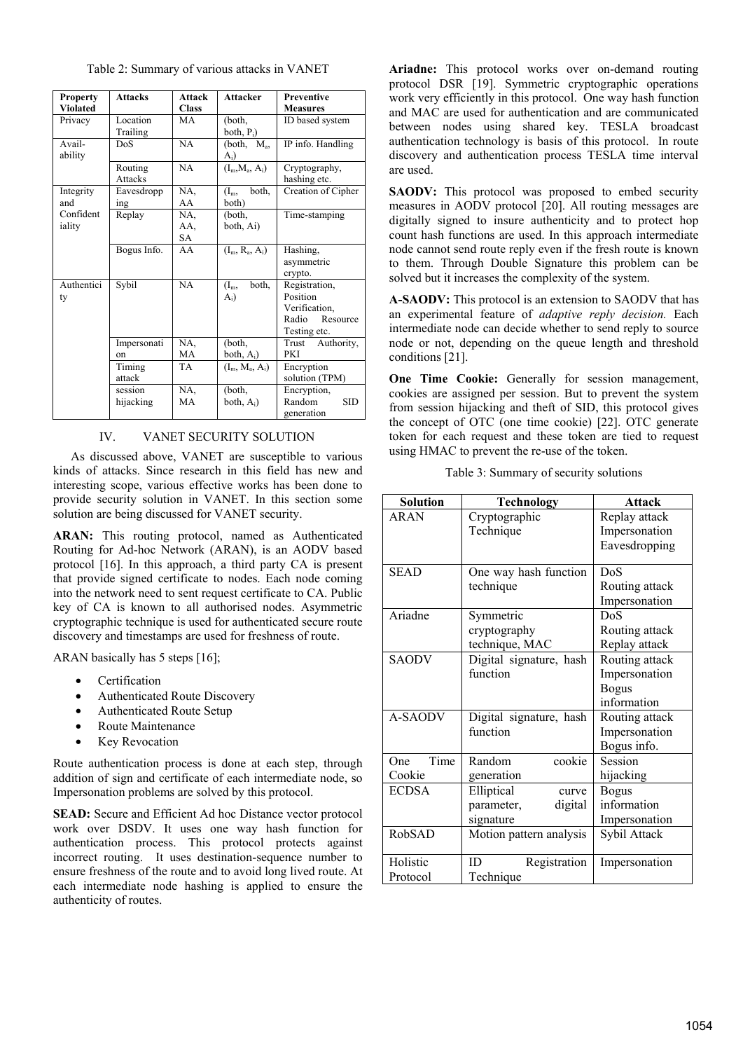| <b>Property</b><br><b>Violated</b> | <b>Attacks</b>            | <b>Attack</b><br><b>Class</b> | <b>Attacker</b>           | <b>Preventive</b><br><b>Measures</b>                                            |
|------------------------------------|---------------------------|-------------------------------|---------------------------|---------------------------------------------------------------------------------|
| Privacy                            | Location<br>Trailing      | MA                            | (both,<br>both, $P_i$ )   | ID based system                                                                 |
| Avail-<br>ability                  | DoS                       | NA                            | (both, $M_a$ ,<br>$A_i$   | IP info. Handling                                                               |
|                                    | Routing<br><b>Attacks</b> | NA                            | $(I_m, M_a, A_i)$         | Cryptography,<br>hashing etc.                                                   |
| Integrity<br>and                   | Eavesdropp<br>ing         | NA,<br>AA                     | both,<br>$(I_m,$<br>both) | Creation of Cipher                                                              |
| Confident<br>iality                | Replay                    | NA.<br>AA.<br>SA              | (both,<br>both, Ai)       | Time-stamping                                                                   |
|                                    | Bogus Info.               | AA                            | $(I_m, R_a, A_i)$         | Hashing,<br>asymmetric<br>crypto.                                               |
| Authentici<br>ty                   | Sybil                     | NA                            | both.<br>$(I_m,$<br>$A_i$ | Registration,<br>Position<br>Verification,<br>Radio<br>Resource<br>Testing etc. |
|                                    | Impersonati<br>on         | NA.<br>МA                     | (both,<br>both, $A_i$ )   | Authority,<br>Trust<br><b>PKI</b>                                               |
|                                    | Timing<br>attack          | TA                            | $(I_m, M_a, A_i)$         | Encryption<br>solution (TPM)                                                    |
|                                    | session<br>hijacking      | NA.<br>MA                     | (both,<br>both, $A_i$ )   | Encryption,<br>Random<br><b>SID</b><br>generation                               |

Table 2: Summary of various attacks in VANET

## IV. VANET SECURITY SOLUTION

As discussed above, VANET are susceptible to various kinds of attacks. Since research in this field has new and interesting scope, various effective works has been done to provide security solution in VANET. In this section some solution are being discussed for VANET security.

**ARAN:** This routing protocol, named as Authenticated Routing for Ad-hoc Network (ARAN), is an AODV based protocol [16]. In this approach, a third party CA is present that provide signed certificate to nodes. Each node coming into the network need to sent request certificate to CA. Public key of CA is known to all authorised nodes. Asymmetric cryptographic technique is used for authenticated secure route discovery and timestamps are used for freshness of route.

ARAN basically has 5 steps [16];

- **Certification**
- Authenticated Route Discovery
- Authenticated Route Setup
- Route Maintenance
- **Key Revocation**

Route authentication process is done at each step, through addition of sign and certificate of each intermediate node, so Impersonation problems are solved by this protocol.

**SEAD:** Secure and Efficient Ad hoc Distance vector protocol work over DSDV. It uses one way hash function for authentication process. This protocol protects against incorrect routing. It uses destination-sequence number to ensure freshness of the route and to avoid long lived route. At each intermediate node hashing is applied to ensure the authenticity of routes.

**Ariadne:** This protocol works over on-demand routing protocol DSR [19]. Symmetric cryptographic operations work very efficiently in this protocol. One way hash function and MAC are used for authentication and are communicated between nodes using shared key. TESLA broadcast authentication technology is basis of this protocol. In route discovery and authentication process TESLA time interval are used.

SAODV: This protocol was proposed to embed security measures in AODV protocol [20]. All routing messages are digitally signed to insure authenticity and to protect hop count hash functions are used. In this approach intermediate node cannot send route reply even if the fresh route is known to them. Through Double Signature this problem can be solved but it increases the complexity of the system.

**A-SAODV:** This protocol is an extension to SAODV that has an experimental feature of *adaptive reply decision.* Each intermediate node can decide whether to send reply to source node or not, depending on the queue length and threshold conditions [21].

**One Time Cookie:** Generally for session management, cookies are assigned per session. But to prevent the system from session hijacking and theft of SID, this protocol gives the concept of OTC (one time cookie) [22]. OTC generate token for each request and these token are tied to request using HMAC to prevent the re-use of the token.

| <b>Solution</b> | <b>Technology</b>       | <b>Attack</b>  |
|-----------------|-------------------------|----------------|
| <b>ARAN</b>     | Cryptographic           | Replay attack  |
|                 | Technique               | Impersonation  |
|                 |                         | Eavesdropping  |
|                 |                         |                |
| <b>SEAD</b>     | One way hash function   | DoS            |
|                 | technique               | Routing attack |
|                 |                         | Impersonation  |
| Ariadne         | Symmetric               | DoS            |
|                 | cryptography            | Routing attack |
|                 | technique, MAC          | Replay attack  |
| <b>SAODV</b>    | Digital signature, hash | Routing attack |
|                 | function                | Impersonation  |
|                 |                         | <b>Bogus</b>   |
|                 |                         | information    |
| <b>A-SAODV</b>  | Digital signature, hash | Routing attack |
|                 | function                | Impersonation  |
|                 |                         | Bogus info.    |
| Time<br>One     | Random<br>cookie        | Session        |
| Cookie          | generation              | hijacking      |
| <b>ECDSA</b>    | Elliptical<br>curve     | <b>Bogus</b>   |
|                 | parameter,<br>digital   | information    |
|                 | signature               | Impersonation  |
| <b>RobSAD</b>   | Motion pattern analysis | Sybil Attack   |
|                 |                         |                |
| Holistic        | ID<br>Registration      | Impersonation  |
| Protocol        | Technique               |                |